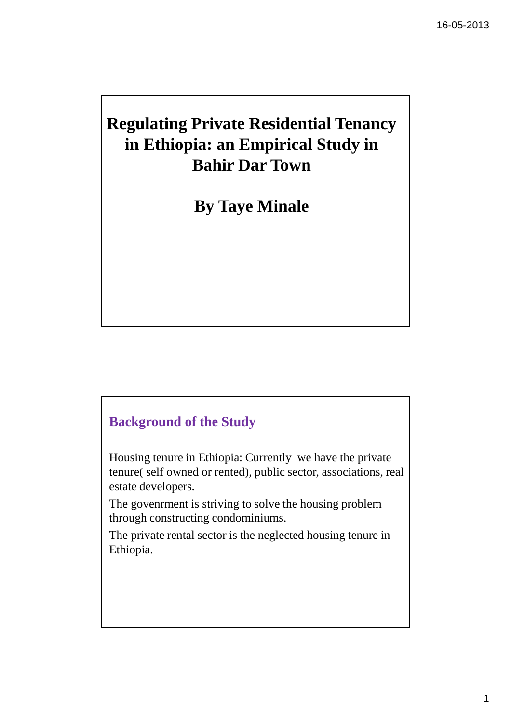# **Regulating Private Residential Tenancy in Ethiopia: an Empirical Study in Bahir Dar Town**

**By Taye Minale** 

# **Background of the Study**

Housing tenure in Ethiopia: Currently we have the private tenure( self owned or rented), public sector, associations, real estate developers.

The govenrment is striving to solve the housing problem through constructing condominiums.

The private rental sector is the neglected housing tenure in Ethiopia.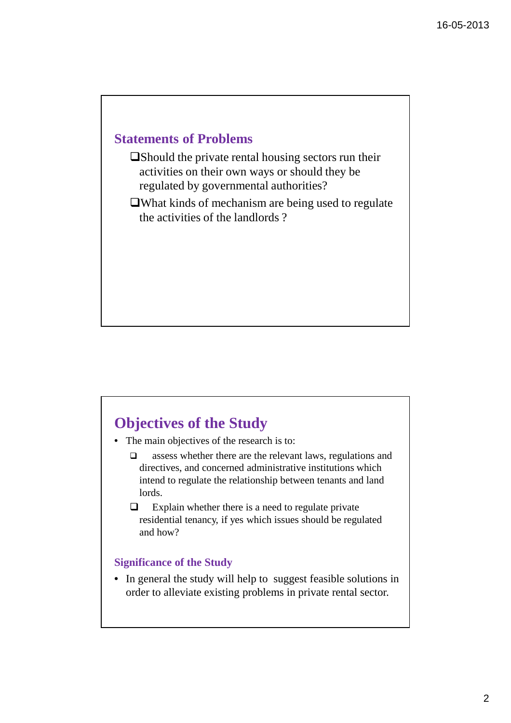## **Statements of Problems**

Should the private rental housing sectors run their activities on their own ways or should they be regulated by governmental authorities?

What kinds of mechanism are being used to regulate the activities of the landlords ?

# **Objectives of the Study**

- The main objectives of the research is to:
	- $\Box$  assess whether there are the relevant laws, regulations and directives, and concerned administrative institutions which intend to regulate the relationship between tenants and land lords.
	- $\Box$  Explain whether there is a need to regulate private residential tenancy, if yes which issues should be regulated and how?

### **Significance of the Study**

• In general the study will help to suggest feasible solutions in order to alleviate existing problems in private rental sector.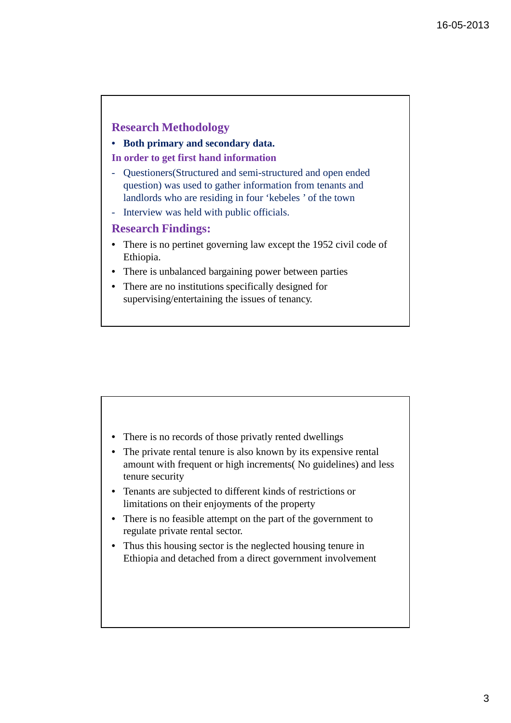### **Research Methodology**

#### • **Both primary and secondary data.**

#### **In order to get first hand information**

- Questioners(Structured and semi-structured and open ended question) was used to gather information from tenants and landlords who are residing in four 'kebeles ' of the town
- Interview was held with public officials.

### **Research Findings:**

- There is no pertinet governing law except the 1952 civil code of Ethiopia.
- There is unbalanced bargaining power between parties
- There are no institutions specifically designed for supervising/entertaining the issues of tenancy.

- There is no records of those privatly rented dwellings
- The private rental tenure is also known by its expensive rental amount with frequent or high increments( No guidelines) and less tenure security
- Tenants are subjected to different kinds of restrictions or limitations on their enjoyments of the property
- There is no feasible attempt on the part of the government to regulate private rental sector.
- Thus this housing sector is the neglected housing tenure in Ethiopia and detached from a direct government involvement